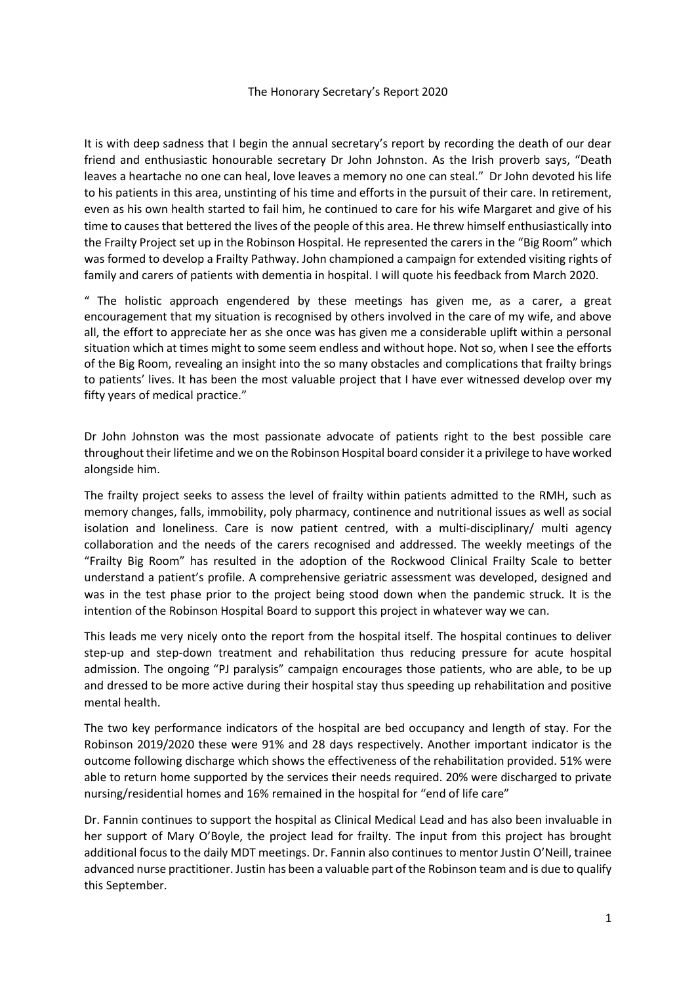It is with deep sadness that I begin the annual secretary's report by recording the death of our dear friend and enthusiastic honourable secretary Dr John Johnston. As the Irish proverb says, "Death leaves a heartache no one can heal, love leaves a memory no one can steal." Dr John devoted his life to his patients in this area, unstinting of his time and efforts in the pursuit of their care. In retirement, even as his own health started to fail him, he continued to care for his wife Margaret and give of his time to causes that bettered the lives of the people of this area. He threw himself enthusiastically into the Frailty Project set up in the Robinson Hospital. He represented the carers in the "Big Room" which was formed to develop a Frailty Pathway. John championed a campaign for extended visiting rights of family and carers of patients with dementia in hospital. I will quote his feedback from March 2020.

" The holistic approach engendered by these meetings has given me, as a carer, a great encouragement that my situation is recognised by others involved in the care of my wife, and above all, the effort to appreciate her as she once was has given me a considerable uplift within a personal situation which at times might to some seem endless and without hope. Not so, when I see the efforts of the Big Room, revealing an insight into the so many obstacles and complications that frailty brings to patients' lives. It has been the most valuable project that I have ever witnessed develop over my fifty years of medical practice."

Dr John Johnston was the most passionate advocate of patients right to the best possible care throughout their lifetime and we on the Robinson Hospital board consider it a privilege to have worked alongside him.

The frailty project seeks to assess the level of frailty within patients admitted to the RMH, such as memory changes, falls, immobility, poly pharmacy, continence and nutritional issues as well as social isolation and loneliness. Care is now patient centred, with a multi-disciplinary/ multi agency collaboration and the needs of the carers recognised and addressed. The weekly meetings of the "Frailty Big Room" has resulted in the adoption of the Rockwood Clinical Frailty Scale to better understand a patient's profile. A comprehensive geriatric assessment was developed, designed and was in the test phase prior to the project being stood down when the pandemic struck. It is the intention of the Robinson Hospital Board to support this project in whatever way we can.

This leads me very nicely onto the report from the hospital itself. The hospital continues to deliver step-up and step-down treatment and rehabilitation thus reducing pressure for acute hospital admission. The ongoing "PJ paralysis" campaign encourages those patients, who are able, to be up and dressed to be more active during their hospital stay thus speeding up rehabilitation and positive mental health.

The two key performance indicators of the hospital are bed occupancy and length of stay. For the Robinson 2019/2020 these were 91% and 28 days respectively. Another important indicator is the outcome following discharge which shows the effectiveness of the rehabilitation provided. 51% were able to return home supported by the services their needs required. 20% were discharged to private nursing/residential homes and 16% remained in the hospital for "end of life care"

Dr. Fannin continues to support the hospital as Clinical Medical Lead and has also been invaluable in her support of Mary O'Boyle, the project lead for frailty. The input from this project has brought additional focus to the daily MDT meetings. Dr. Fannin also continues to mentor Justin O'Neill, trainee advanced nurse practitioner. Justin has been a valuable part of the Robinson team and is due to qualify this September.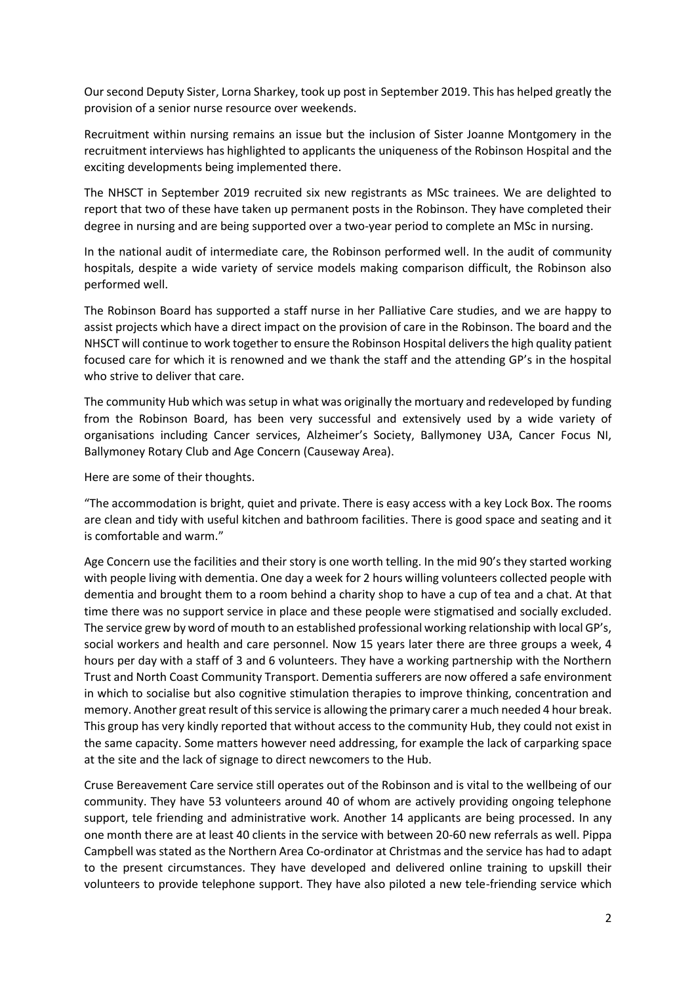Our second Deputy Sister, Lorna Sharkey, took up post in September 2019. This has helped greatly the provision of a senior nurse resource over weekends.

Recruitment within nursing remains an issue but the inclusion of Sister Joanne Montgomery in the recruitment interviews has highlighted to applicants the uniqueness of the Robinson Hospital and the exciting developments being implemented there.

The NHSCT in September 2019 recruited six new registrants as MSc trainees. We are delighted to report that two of these have taken up permanent posts in the Robinson. They have completed their degree in nursing and are being supported over a two-year period to complete an MSc in nursing.

In the national audit of intermediate care, the Robinson performed well. In the audit of community hospitals, despite a wide variety of service models making comparison difficult, the Robinson also performed well.

The Robinson Board has supported a staff nurse in her Palliative Care studies, and we are happy to assist projects which have a direct impact on the provision of care in the Robinson. The board and the NHSCT will continue to work together to ensure the Robinson Hospital delivers the high quality patient focused care for which it is renowned and we thank the staff and the attending GP's in the hospital who strive to deliver that care.

The community Hub which was setup in what was originally the mortuary and redeveloped by funding from the Robinson Board, has been very successful and extensively used by a wide variety of organisations including Cancer services, Alzheimer's Society, Ballymoney U3A, Cancer Focus NI, Ballymoney Rotary Club and Age Concern (Causeway Area).

Here are some of their thoughts.

"The accommodation is bright, quiet and private. There is easy access with a key Lock Box. The rooms are clean and tidy with useful kitchen and bathroom facilities. There is good space and seating and it is comfortable and warm."

Age Concern use the facilities and their story is one worth telling. In the mid 90's they started working with people living with dementia. One day a week for 2 hours willing volunteers collected people with dementia and brought them to a room behind a charity shop to have a cup of tea and a chat. At that time there was no support service in place and these people were stigmatised and socially excluded. The service grew by word of mouth to an established professional working relationship with local GP's, social workers and health and care personnel. Now 15 years later there are three groups a week, 4 hours per day with a staff of 3 and 6 volunteers. They have a working partnership with the Northern Trust and North Coast Community Transport. Dementia sufferers are now offered a safe environment in which to socialise but also cognitive stimulation therapies to improve thinking, concentration and memory. Another great result of this service is allowing the primary carer a much needed 4 hour break. This group has very kindly reported that without access to the community Hub, they could not exist in the same capacity. Some matters however need addressing, for example the lack of carparking space at the site and the lack of signage to direct newcomers to the Hub.

Cruse Bereavement Care service still operates out of the Robinson and is vital to the wellbeing of our community. They have 53 volunteers around 40 of whom are actively providing ongoing telephone support, tele friending and administrative work. Another 14 applicants are being processed. In any one month there are at least 40 clients in the service with between 20-60 new referrals as well. Pippa Campbell was stated as the Northern Area Co-ordinator at Christmas and the service has had to adapt to the present circumstances. They have developed and delivered online training to upskill their volunteers to provide telephone support. They have also piloted a new tele-friending service which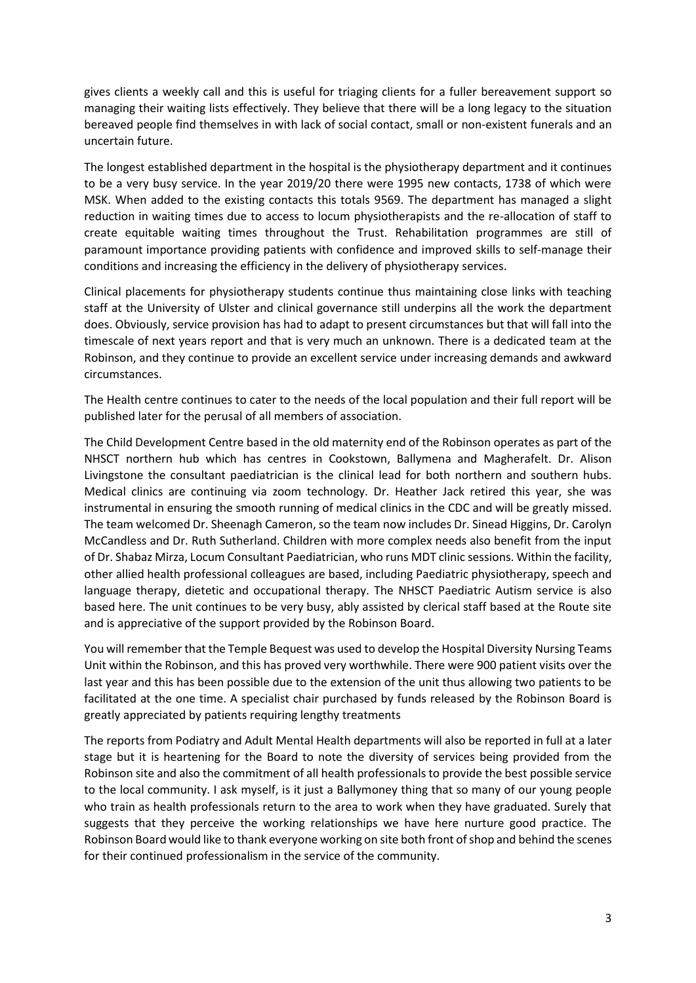gives clients a weekly call and this is useful for triaging clients for a fuller bereavement support so managing their waiting lists effectively. They believe that there will be a long legacy to the situation bereaved people find themselves in with lack of social contact, small or non-existent funerals and an uncertain future.

The longest established department in the hospital is the physiotherapy department and it continues to be a very busy service. In the year 2019/20 there were 1995 new contacts, 1738 of which were MSK. When added to the existing contacts this totals 9569. The department has managed a slight reduction in waiting times due to access to locum physiotherapists and the re-allocation of staff to create equitable waiting times throughout the Trust. Rehabilitation programmes are still of paramount importance providing patients with confidence and improved skills to self-manage their conditions and increasing the efficiency in the delivery of physiotherapy services.

Clinical placements for physiotherapy students continue thus maintaining close links with teaching staff at the University of Ulster and clinical governance still underpins all the work the department does. Obviously, service provision has had to adapt to present circumstances but that will fall into the timescale of next years report and that is very much an unknown. There is a dedicated team at the Robinson, and they continue to provide an excellent service under increasing demands and awkward circumstances.

The Health centre continues to cater to the needs of the local population and their full report will be published later for the perusal of all members of association.

The Child Development Centre based in the old maternity end of the Robinson operates as part of the NHSCT northern hub which has centres in Cookstown, Ballymena and Magherafelt. Dr. Alison Livingstone the consultant paediatrician is the clinical lead for both northern and southern hubs. Medical clinics are continuing via zoom technology. Dr. Heather Jack retired this year, she was instrumental in ensuring the smooth running of medical clinics in the CDC and will be greatly missed. The team welcomed Dr. Sheenagh Cameron, so the team now includes Dr. Sinead Higgins, Dr. Carolyn McCandless and Dr. Ruth Sutherland. Children with more complex needs also benefit from the input of Dr. Shabaz Mirza, Locum Consultant Paediatrician, who runs MDT clinic sessions. Within the facility, other allied health professional colleagues are based, including Paediatric physiotherapy, speech and language therapy, dietetic and occupational therapy. The NHSCT Paediatric Autism service is also based here. The unit continues to be very busy, ably assisted by clerical staff based at the Route site and is appreciative of the support provided by the Robinson Board.

You will remember that the Temple Bequest was used to develop the Hospital Diversity Nursing Teams Unit within the Robinson, and this has proved very worthwhile. There were 900 patient visits over the last year and this has been possible due to the extension of the unit thus allowing two patients to be facilitated at the one time. A specialist chair purchased by funds released by the Robinson Board is greatly appreciated by patients requiring lengthy treatments

The reports from Podiatry and Adult Mental Health departments will also be reported in full at a later stage but it is heartening for the Board to note the diversity of services being provided from the Robinson site and also the commitment of all health professionals to provide the best possible service to the local community. I ask myself, is it just a Ballymoney thing that so many of our young people who train as health professionals return to the area to work when they have graduated. Surely that suggests that they perceive the working relationships we have here nurture good practice. The Robinson Board would like to thank everyone working on site both front of shop and behind the scenes for their continued professionalism in the service of the community.